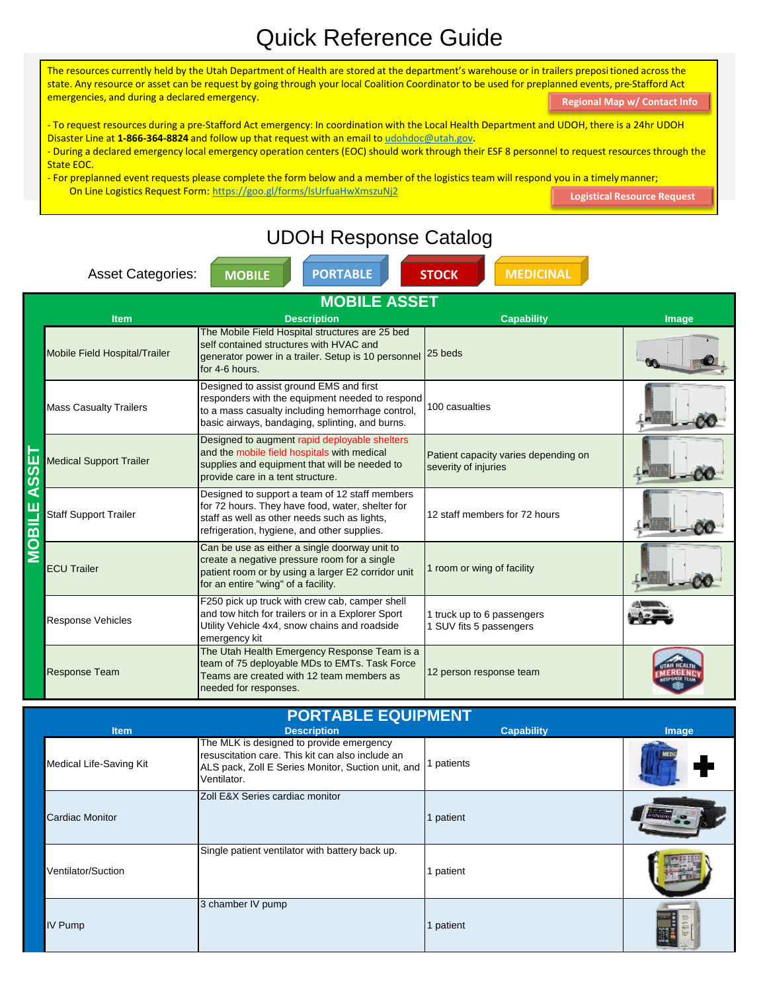## Quick Reference Guide

The resources currently held by the Utah Department of Health are stored at the department's warehouse or in trailers prepositioned across the state. Any resource or asset can be request by going through your local Coalition Coordinator to be used for preplanned events, pre-Stafford Act emergencies, and during a declared emergency.

**[Regional Map w/ Contact Info](../Downloads/Regional HCC Map wContacts 191023.pdf)**

- To request resources during a pre-Stafford Act emergency: In coordination with the Local Health Department and UDOH, there is a 24hr UDOH Disaster Line at **1-866-364-8824** and follow up that request with an email to udohdoc@utah.gov.

- During a declared emergency local emergency operation centers (EOC) should work through their ESF 8 personnel to request resources through the State EOC.

- For preplanned event requests please complete the form below and a member of the logistics team will respond you in a timely manner; On Line Logistics Request Form: https://goo.gl/forms/lsUrfuaHwXmszuNj2 **[Logistical Resource Request](https://goo.gl/forms/lsUrfuaHwXmszuNj2)**

## UDOH Response Catalog **MOBILE PORTABLE STOCK MEDICINAL** Asset Categories: **MOBILE ASSET Item Description Capability Image** The Mobile Field Hospital structures are 25 bed self contained structures with HVAC and Mobile Field Hospital/Trailer 25 beds generator power in a trailer. Setup is 10 personnel for 4-6 hours. Designed to assist ground EMS and first responders with the equipment needed to respond Mass Casualty Trailers 100 casualties to a mass casualty including hemorrhage control, basic airways, bandaging, splinting, and burns. Designed to augment rapid deployable shelters **PORTABLE EQUIPMENT MOBILE ASSET** and the mobile field hospitals with medical Patient capacity varies depending on Medical Support Trailer supplies and equipment that will be needed to severity of injuries SS provide care in a tent structure. Designed to support a team of 12 staff members for 72 hours. They have food, water, shelter for Staff Support Trailer 12 staff members for 72 hours staff as well as other needs such as lights, refrigeration, hygiene, and other supplies.  $\overline{\mathbf{C}}$ Can be use as either a single doorway unit to create a negative pressure room for a single ECU Trailer 1 room or wing of facility patient room or by using a larger E2 corridor unit for an entire "wing" of a facility. F250 pick up truck with crew cab, camper shell and tow hitch for trailers or in a Explorer Sport 1 truck up to 6 passengers Response Vehicles Utility Vehicle 4x4, snow chains and roadside 1 SUV fits 5 passengers emergency kit The Utah Health Emergency Response Team is a team of 75 deployable MDs to EMTs. Task Force Response Team 12 person response team Teams are created with 12 team members as needed for responses.

| <b>PORTABLE EQUIPMENT</b> |                                                                                                                                                                   |                   |       |  |
|---------------------------|-------------------------------------------------------------------------------------------------------------------------------------------------------------------|-------------------|-------|--|
| Item                      | <b>Description</b>                                                                                                                                                | <b>Capability</b> | Image |  |
| Medical Life-Saving Kit   | The MLK is designed to provide emergency<br>resuscitation care. This kit can also include an<br>ALS pack, Zoll E Series Monitor, Suction unit, and<br>Ventilator. | patients          |       |  |
| Cardiac Monitor           | Zoll E&X Series cardiac monitor                                                                                                                                   | 1 patient         |       |  |
| Ventilator/Suction        | Single patient ventilator with battery back up.                                                                                                                   | patient           |       |  |
| <b>IV Pump</b>            | 3 chamber IV pump                                                                                                                                                 | 1 patient         |       |  |